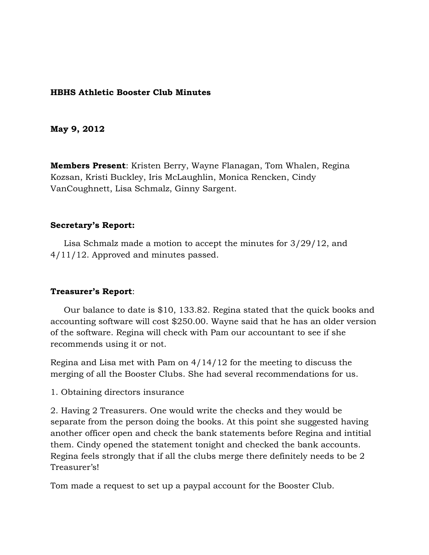## **HBHS Athletic Booster Club Minutes**

### **May 9, 2012**

**Members Present**: Kristen Berry, Wayne Flanagan, Tom Whalen, Regina Kozsan, Kristi Buckley, Iris McLaughlin, Monica Rencken, Cindy VanCoughnett, Lisa Schmalz, Ginny Sargent.

#### **Secretary's Report:**

 Lisa Schmalz made a motion to accept the minutes for 3/29/12, and 4/11/12. Approved and minutes passed.

#### **Treasurer's Report**:

 Our balance to date is \$10, 133.82. Regina stated that the quick books and accounting software will cost \$250.00. Wayne said that he has an older version of the software. Regina will check with Pam our accountant to see if she recommends using it or not.

Regina and Lisa met with Pam on 4/14/12 for the meeting to discuss the merging of all the Booster Clubs. She had several recommendations for us.

1. Obtaining directors insurance

2. Having 2 Treasurers. One would write the checks and they would be separate from the person doing the books. At this point she suggested having another officer open and check the bank statements before Regina and intitial them. Cindy opened the statement tonight and checked the bank accounts. Regina feels strongly that if all the clubs merge there definitely needs to be 2 Treasurer's!

Tom made a request to set up a paypal account for the Booster Club.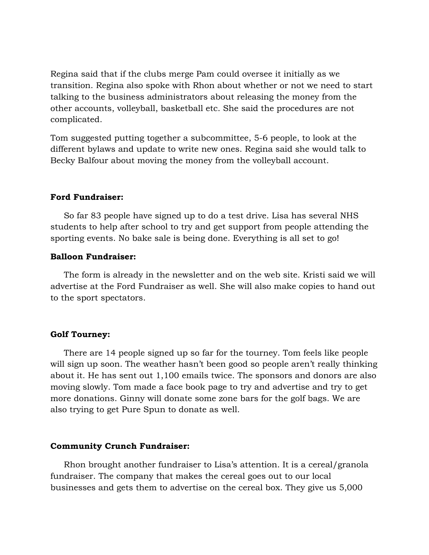Regina said that if the clubs merge Pam could oversee it initially as we transition. Regina also spoke with Rhon about whether or not we need to start talking to the business administrators about releasing the money from the other accounts, volleyball, basketball etc. She said the procedures are not complicated.

Tom suggested putting together a subcommittee, 5-6 people, to look at the different bylaws and update to write new ones. Regina said she would talk to Becky Balfour about moving the money from the volleyball account.

### **Ford Fundraiser:**

 So far 83 people have signed up to do a test drive. Lisa has several NHS students to help after school to try and get support from people attending the sporting events. No bake sale is being done. Everything is all set to go!

## **Balloon Fundraiser:**

 The form is already in the newsletter and on the web site. Kristi said we will advertise at the Ford Fundraiser as well. She will also make copies to hand out to the sport spectators.

### **Golf Tourney:**

 There are 14 people signed up so far for the tourney. Tom feels like people will sign up soon. The weather hasn't been good so people aren't really thinking about it. He has sent out 1,100 emails twice. The sponsors and donors are also moving slowly. Tom made a face book page to try and advertise and try to get more donations. Ginny will donate some zone bars for the golf bags. We are also trying to get Pure Spun to donate as well.

#### **Community Crunch Fundraiser:**

 Rhon brought another fundraiser to Lisa's attention. It is a cereal/granola fundraiser. The company that makes the cereal goes out to our local businesses and gets them to advertise on the cereal box. They give us 5,000